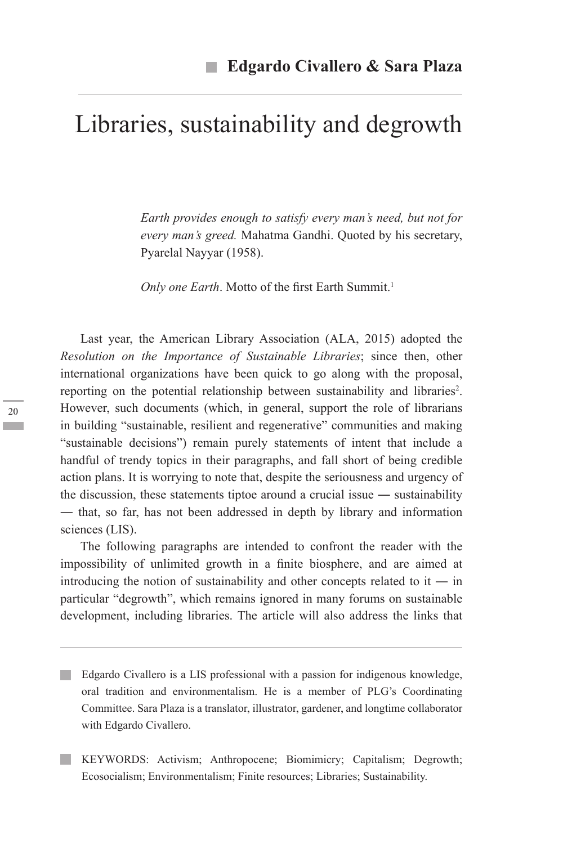# Libraries, sustainability and degrowth

*Earth provides enough to satisfy every man's need, but not for every man's greed.* Mahatma Gandhi. Quoted by his secretary, Pyarelal Nayyar (1958).

*Only one Earth*. Motto of the first Earth Summit.<sup>1</sup>

Last year, the American Library Association (ALA, 2015) adopted the *Resolution on the Importance of Sustainable Libraries*; since then, other international organizations have been quick to go along with the proposal, reporting on the potential relationship between sustainability and libraries<sup>2</sup>. However, such documents (which, in general, support the role of librarians in building "sustainable, resilient and regenerative" communities and making "sustainable decisions") remain purely statements of intent that include a handful of trendy topics in their paragraphs, and fall short of being credible action plans. It is worrying to note that, despite the seriousness and urgency of the discussion, these statements tiptoe around a crucial issue ― sustainability ― that, so far, has not been addressed in depth by library and information sciences (LIS).

The following paragraphs are intended to confront the reader with the impossibility of unlimited growth in a finite biosphere, and are aimed at introducing the notion of sustainability and other concepts related to it — in particular "degrowth", which remains ignored in many forums on sustainable development, including libraries. The article will also address the links that

- Edgardo Civallero is a LIS professional with a passion for indigenous knowledge, oral tradition and environmentalism. He is a member of PLG's Coordinating Committee. Sara Plaza is a translator, illustrator, gardener, and longtime collaborator with Edgardo Civallero.
- KEYWORDS: Activism; Anthropocene; Biomimicry; Capitalism; Degrowth; Ecosocialism; Environmentalism; Finite resources; Libraries; Sustainability.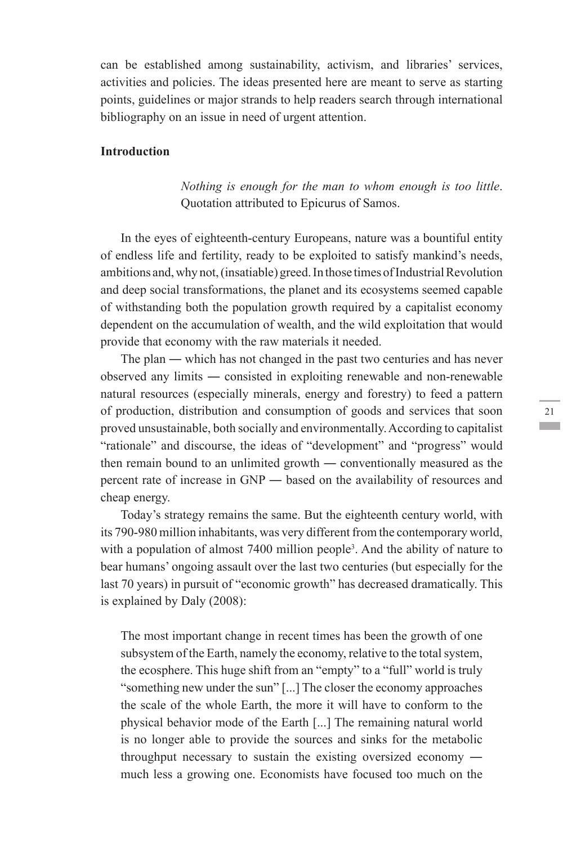can be established among sustainability, activism, and libraries' services, activities and policies. The ideas presented here are meant to serve as starting points, guidelines or major strands to help readers search through international bibliography on an issue in need of urgent attention.

## **Introduction**

*Nothing is enough for the man to whom enough is too little*. Quotation attributed to Epicurus of Samos.

In the eyes of eighteenth-century Europeans, nature was a bountiful entity of endless life and fertility, ready to be exploited to satisfy mankind's needs, ambitions and, why not, (insatiable) greed. In those times of Industrial Revolution and deep social transformations, the planet and its ecosystems seemed capable of withstanding both the population growth required by a capitalist economy dependent on the accumulation of wealth, and the wild exploitation that would provide that economy with the raw materials it needed.

The plan ― which has not changed in the past two centuries and has never observed any limits ― consisted in exploiting renewable and non-renewable natural resources (especially minerals, energy and forestry) to feed a pattern of production, distribution and consumption of goods and services that soon proved unsustainable, both socially and environmentally. According to capitalist "rationale" and discourse, the ideas of "development" and "progress" would then remain bound to an unlimited growth ― conventionally measured as the percent rate of increase in GNP ― based on the availability of resources and cheap energy.

Today's strategy remains the same. But the eighteenth century world, with its 790-980 million inhabitants, was very different from the contemporary world, with a population of almost 7400 million people<sup>3</sup>. And the ability of nature to bear humans' ongoing assault over the last two centuries (but especially for the last 70 years) in pursuit of "economic growth" has decreased dramatically. This is explained by Daly (2008):

The most important change in recent times has been the growth of one subsystem of the Earth, namely the economy, relative to the total system, the ecosphere. This huge shift from an "empty" to a "full" world is truly "something new under the sun" [...] The closer the economy approaches the scale of the whole Earth, the more it will have to conform to the physical behavior mode of the Earth [...] The remaining natural world is no longer able to provide the sources and sinks for the metabolic throughput necessary to sustain the existing oversized economy ― much less a growing one. Economists have focused too much on the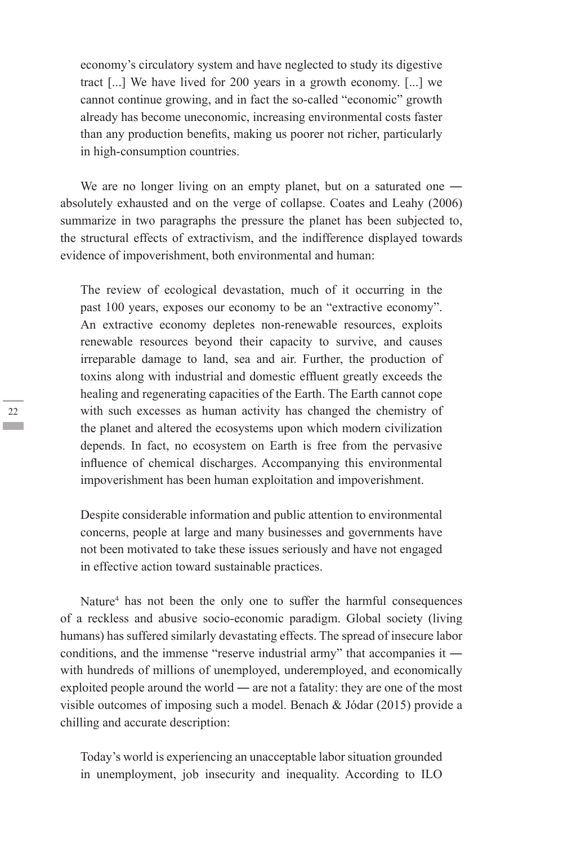economy's circulatory system and have neglected to study its digestive tract [...] We have lived for 200 years in a growth economy. [...] we cannot continue growing, and in fact the so-called "economic" growth already has become uneconomic, increasing environmental costs faster than any production benefits, making us poorer not richer, particularly in high-consumption countries.

We are no longer living on an empty planet, but on a saturated one absolutely exhausted and on the verge of collapse. Coates and Leahy (2006) summarize in two paragraphs the pressure the planet has been subjected to, the structural effects of extractivism, and the indifference displayed towards evidence of impoverishment, both environmental and human:

The review of ecological devastation, much of it occurring in the past 100 years, exposes our economy to be an "extractive economy". An extractive economy depletes non-renewable resources, exploits renewable resources beyond their capacity to survive, and causes irreparable damage to land, sea and air. Further, the production of toxins along with industrial and domestic effluent greatly exceeds the healing and regenerating capacities of the Earth. The Earth cannot cope with such excesses as human activity has changed the chemistry of the planet and altered the ecosystems upon which modern civilization depends. In fact, no ecosystem on Earth is free from the pervasive influence of chemical discharges. Accompanying this environmental impoverishment has been human exploitation and impoverishment.

Despite considerable information and public attention to environmental concerns, people at large and many businesses and governments have not been motivated to take these issues seriously and have not engaged in effective action toward sustainable practices.

Nature<sup>4</sup> has not been the only one to suffer the harmful consequences of a reckless and abusive socio-economic paradigm. Global society (living humans) has suffered similarly devastating effects. The spread of insecure labor conditions, and the immense "reserve industrial army" that accompanies it ― with hundreds of millions of unemployed, underemployed, and economically exploited people around the world ― are not a fatality: they are one of the most visible outcomes of imposing such a model. Benach & Jódar (2015) provide a chilling and accurate description:

Today's world is experiencing an unacceptable labor situation grounded in unemployment, job insecurity and inequality. According to ILO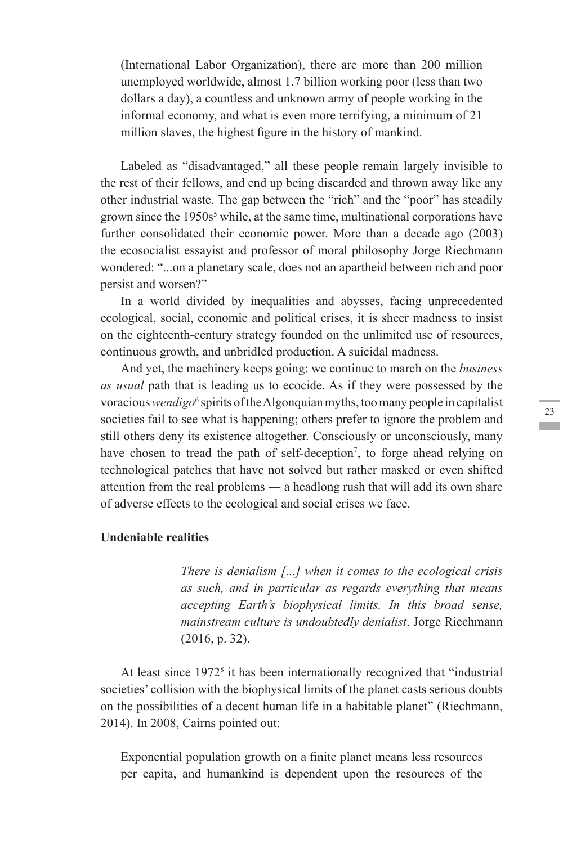(International Labor Organization), there are more than 200 million unemployed worldwide, almost 1.7 billion working poor (less than two dollars a day), a countless and unknown army of people working in the informal economy, and what is even more terrifying, a minimum of 21 million slaves, the highest figure in the history of mankind.

Labeled as "disadvantaged," all these people remain largely invisible to the rest of their fellows, and end up being discarded and thrown away like any other industrial waste. The gap between the "rich" and the "poor" has steadily grown since the 1950s<sup>5</sup> while, at the same time, multinational corporations have further consolidated their economic power. More than a decade ago (2003) the ecosocialist essayist and professor of moral philosophy Jorge Riechmann wondered: "...on a planetary scale, does not an apartheid between rich and poor persist and worsen?"

In a world divided by inequalities and abysses, facing unprecedented ecological, social, economic and political crises, it is sheer madness to insist on the eighteenth-century strategy founded on the unlimited use of resources, continuous growth, and unbridled production. A suicidal madness.

And yet, the machinery keeps going: we continue to march on the *business as usual* path that is leading us to ecocide. As if they were possessed by the voracious *wendigo*<sup>6</sup> spirits of the Algonquian myths, too many people in capitalist societies fail to see what is happening; others prefer to ignore the problem and still others deny its existence altogether. Consciously or unconsciously, many have chosen to tread the path of self-deception<sup>7</sup>, to forge ahead relying on technological patches that have not solved but rather masked or even shifted attention from the real problems ― a headlong rush that will add its own share of adverse effects to the ecological and social crises we face.

### **Undeniable realities**

*There is denialism [...] when it comes to the ecological crisis as such, and in particular as regards everything that means accepting Earth's biophysical limits. In this broad sense, mainstream culture is undoubtedly denialist*. Jorge Riechmann (2016, p. 32).

At least since 1972<sup>8</sup> it has been internationally recognized that "industrial societies' collision with the biophysical limits of the planet casts serious doubts on the possibilities of a decent human life in a habitable planet" (Riechmann, 2014). In 2008, Cairns pointed out:

Exponential population growth on a finite planet means less resources per capita, and humankind is dependent upon the resources of the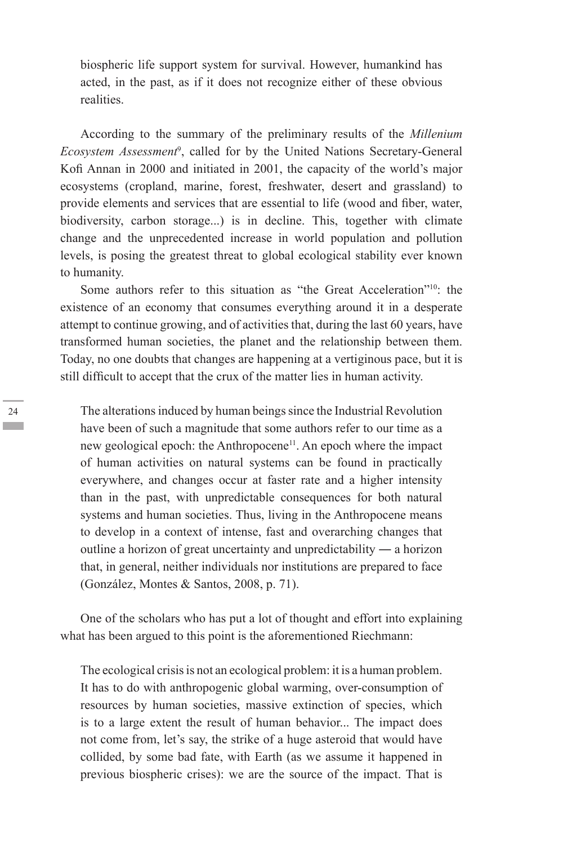biospheric life support system for survival. However, humankind has acted, in the past, as if it does not recognize either of these obvious realities.

According to the summary of the preliminary results of the *Millenium Ecosystem Assessment*<sup>9</sup> , called for by the United Nations Secretary-General Kofi Annan in 2000 and initiated in 2001, the capacity of the world's major ecosystems (cropland, marine, forest, freshwater, desert and grassland) to provide elements and services that are essential to life (wood and fiber, water, biodiversity, carbon storage...) is in decline. This, together with climate change and the unprecedented increase in world population and pollution levels, is posing the greatest threat to global ecological stability ever known to humanity.

Some authors refer to this situation as "the Great Acceleration"<sup>10</sup>: the existence of an economy that consumes everything around it in a desperate attempt to continue growing, and of activities that, during the last 60 years, have transformed human societies, the planet and the relationship between them. Today, no one doubts that changes are happening at a vertiginous pace, but it is still difficult to accept that the crux of the matter lies in human activity.

The alterations induced by human beings since the Industrial Revolution have been of such a magnitude that some authors refer to our time as a new geological epoch: the Anthropocene<sup>11</sup>. An epoch where the impact of human activities on natural systems can be found in practically everywhere, and changes occur at faster rate and a higher intensity than in the past, with unpredictable consequences for both natural systems and human societies. Thus, living in the Anthropocene means to develop in a context of intense, fast and overarching changes that outline a horizon of great uncertainty and unpredictability ― a horizon that, in general, neither individuals nor institutions are prepared to face (González, Montes & Santos, 2008, p. 71).

One of the scholars who has put a lot of thought and effort into explaining what has been argued to this point is the aforementioned Riechmann:

The ecological crisis is not an ecological problem: it is a human problem. It has to do with anthropogenic global warming, over-consumption of resources by human societies, massive extinction of species, which is to a large extent the result of human behavior... The impact does not come from, let's say, the strike of a huge asteroid that would have collided, by some bad fate, with Earth (as we assume it happened in previous biospheric crises): we are the source of the impact. That is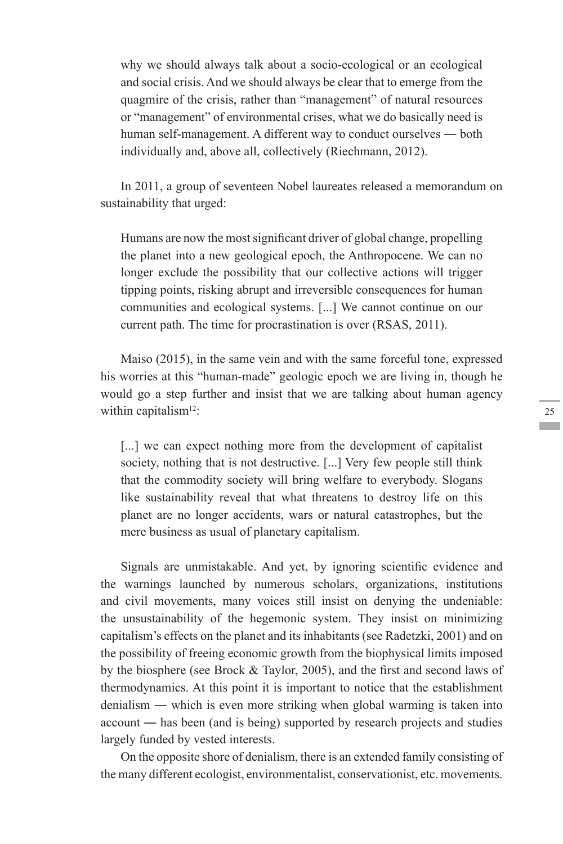why we should always talk about a socio-ecological or an ecological and social crisis. And we should always be clear that to emerge from the quagmire of the crisis, rather than "management" of natural resources or "management" of environmental crises, what we do basically need is human self-management. A different way to conduct ourselves ― both individually and, above all, collectively (Riechmann, 2012).

In 2011, a group of seventeen Nobel laureates released a memorandum on sustainability that urged:

Humans are now the most significant driver of global change, propelling the planet into a new geological epoch, the Anthropocene. We can no longer exclude the possibility that our collective actions will trigger tipping points, risking abrupt and irreversible consequences for human communities and ecological systems. [...] We cannot continue on our current path. The time for procrastination is over (RSAS, 2011).

Maiso (2015), in the same vein and with the same forceful tone, expressed his worries at this "human-made" geologic epoch we are living in, though he would go a step further and insist that we are talking about human agency within capitalism<sup>12</sup>:

[...] we can expect nothing more from the development of capitalist society, nothing that is not destructive. [...] Very few people still think that the commodity society will bring welfare to everybody. Slogans like sustainability reveal that what threatens to destroy life on this planet are no longer accidents, wars or natural catastrophes, but the mere business as usual of planetary capitalism.

Signals are unmistakable. And yet, by ignoring scientific evidence and the warnings launched by numerous scholars, organizations, institutions and civil movements, many voices still insist on denying the undeniable: the unsustainability of the hegemonic system. They insist on minimizing capitalism's effects on the planet and its inhabitants (see Radetzki, 2001) and on the possibility of freeing economic growth from the biophysical limits imposed by the biosphere (see Brock & Taylor, 2005), and the first and second laws of thermodynamics. At this point it is important to notice that the establishment denialism ― which is even more striking when global warming is taken into account ― has been (and is being) supported by research projects and studies largely funded by vested interests.

On the opposite shore of denialism, there is an extended family consisting of the many different ecologist, environmentalist, conservationist, etc. movements.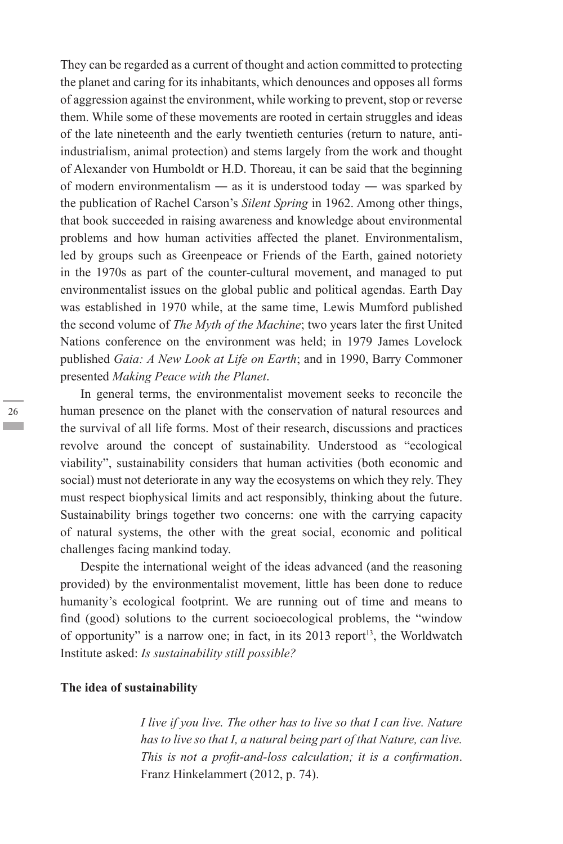They can be regarded as a current of thought and action committed to protecting the planet and caring for its inhabitants, which denounces and opposes all forms of aggression against the environment, while working to prevent, stop or reverse them. While some of these movements are rooted in certain struggles and ideas of the late nineteenth and the early twentieth centuries (return to nature, antiindustrialism, animal protection) and stems largely from the work and thought of Alexander von Humboldt or H.D. Thoreau, it can be said that the beginning of modern environmentalism — as it is understood today — was sparked by the publication of Rachel Carson's *Silent Spring* in 1962. Among other things, that book succeeded in raising awareness and knowledge about environmental problems and how human activities affected the planet. Environmentalism, led by groups such as Greenpeace or Friends of the Earth, gained notoriety in the 1970s as part of the counter-cultural movement, and managed to put environmentalist issues on the global public and political agendas. Earth Day was established in 1970 while, at the same time, Lewis Mumford published the second volume of *The Myth of the Machine*; two years later the first United Nations conference on the environment was held; in 1979 James Lovelock published *Gaia: A New Look at Life on Earth*; and in 1990, Barry Commoner presented *Making Peace with the Planet*.

In general terms, the environmentalist movement seeks to reconcile the human presence on the planet with the conservation of natural resources and the survival of all life forms. Most of their research, discussions and practices revolve around the concept of sustainability. Understood as "ecological viability", sustainability considers that human activities (both economic and social) must not deteriorate in any way the ecosystems on which they rely. They must respect biophysical limits and act responsibly, thinking about the future. Sustainability brings together two concerns: one with the carrying capacity of natural systems, the other with the great social, economic and political challenges facing mankind today.

Despite the international weight of the ideas advanced (and the reasoning provided) by the environmentalist movement, little has been done to reduce humanity's ecological footprint. We are running out of time and means to find (good) solutions to the current socioecological problems, the "window of opportunity" is a narrow one; in fact, in its  $2013$  report<sup>13</sup>, the Worldwatch Institute asked: *Is sustainability still possible?*

### **The idea of sustainability**

*I live if you live. The other has to live so that I can live. Nature has to live so that I, a natural being part of that Nature, can live. This is not a profit-and-loss calculation; it is a confirmation*. Franz Hinkelammert (2012, p. 74).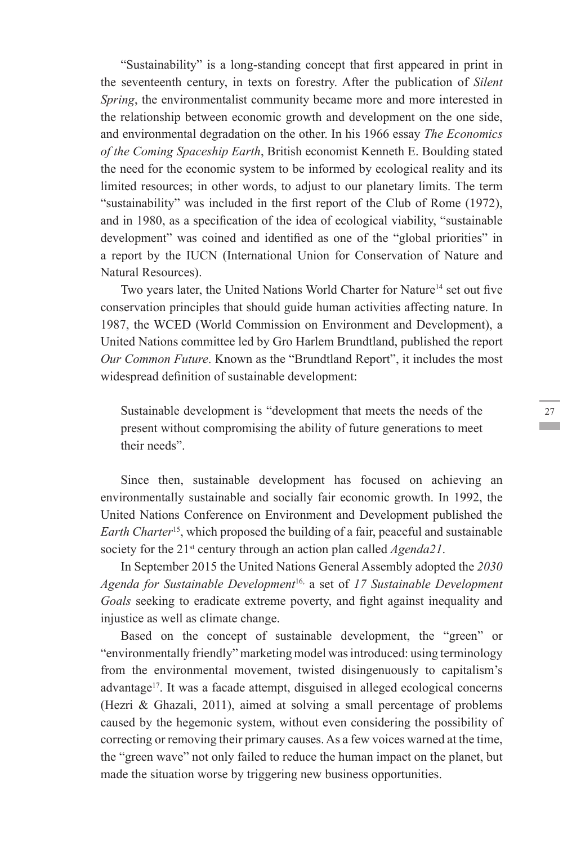"Sustainability" is a long-standing concept that first appeared in print in the seventeenth century, in texts on forestry. After the publication of *Silent Spring*, the environmentalist community became more and more interested in the relationship between economic growth and development on the one side, and environmental degradation on the other. In his 1966 essay *The Economics of the Coming Spaceship Earth*, British economist Kenneth E. Boulding stated the need for the economic system to be informed by ecological reality and its limited resources; in other words, to adjust to our planetary limits. The term "sustainability" was included in the first report of the Club of Rome (1972), and in 1980, as a specification of the idea of ecological viability, "sustainable development" was coined and identified as one of the "global priorities" in a report by the IUCN (International Union for Conservation of Nature and Natural Resources).

Two years later, the United Nations World Charter for Nature<sup>14</sup> set out five conservation principles that should guide human activities affecting nature. In 1987, the WCED (World Commission on Environment and Development), a United Nations committee led by Gro Harlem Brundtland, published the report *Our Common Future*. Known as the "Brundtland Report", it includes the most widespread definition of sustainable development:

Sustainable development is "development that meets the needs of the present without compromising the ability of future generations to meet their needs".

Since then, sustainable development has focused on achieving an environmentally sustainable and socially fair economic growth. In 1992, the United Nations Conference on Environment and Development published the *Earth Charter*15, which proposed the building of a fair, peaceful and sustainable society for the 21<sup>st</sup> century through an action plan called *Agenda21*.

In September 2015 the United Nations General Assembly adopted the *2030 Agenda for Sustainable Development*16, a set of *17 Sustainable Development Goals* seeking to eradicate extreme poverty, and fight against inequality and injustice as well as climate change.

Based on the concept of sustainable development, the "green" or "environmentally friendly" marketing model was introduced: using terminology from the environmental movement, twisted disingenuously to capitalism's advantage17. It was a facade attempt, disguised in alleged ecological concerns (Hezri & Ghazali, 2011), aimed at solving a small percentage of problems caused by the hegemonic system, without even considering the possibility of correcting or removing their primary causes. As a few voices warned at the time, the "green wave" not only failed to reduce the human impact on the planet, but made the situation worse by triggering new business opportunities.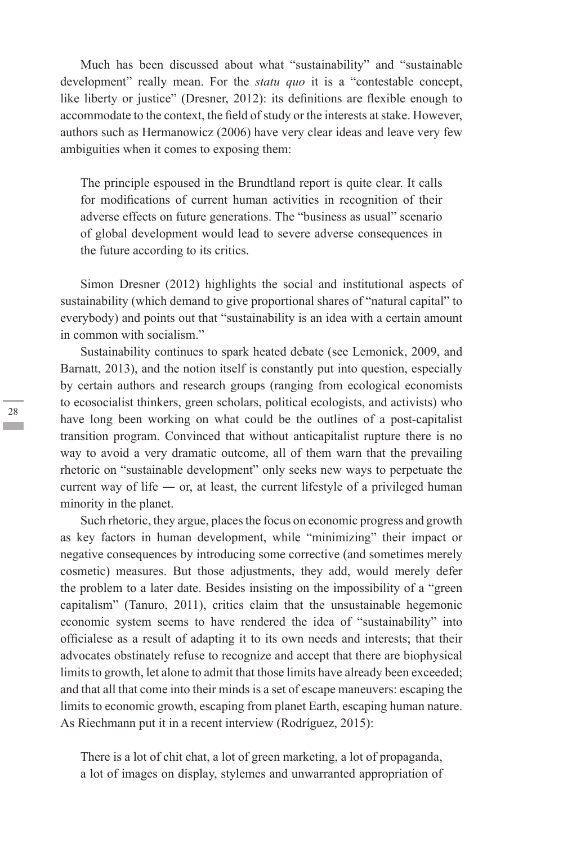Much has been discussed about what "sustainability" and "sustainable development" really mean. For the *statu quo* it is a "contestable concept, like liberty or justice" (Dresner, 2012): its definitions are flexible enough to accommodate to the context, the field of study or the interests at stake. However, authors such as Hermanowicz (2006) have very clear ideas and leave very few ambiguities when it comes to exposing them:

The principle espoused in the Brundtland report is quite clear. It calls for modifications of current human activities in recognition of their adverse effects on future generations. The "business as usual" scenario of global development would lead to severe adverse consequences in the future according to its critics.

Simon Dresner (2012) highlights the social and institutional aspects of sustainability (which demand to give proportional shares of "natural capital" to everybody) and points out that "sustainability is an idea with a certain amount in common with socialism."

Sustainability continues to spark heated debate (see Lemonick, 2009, and Barnatt, 2013), and the notion itself is constantly put into question, especially by certain authors and research groups (ranging from ecological economists to ecosocialist thinkers, green scholars, political ecologists, and activists) who have long been working on what could be the outlines of a post-capitalist transition program. Convinced that without anticapitalist rupture there is no way to avoid a very dramatic outcome, all of them warn that the prevailing rhetoric on "sustainable development" only seeks new ways to perpetuate the current way of life — or, at least, the current lifestyle of a privileged human minority in the planet.

Such rhetoric, they argue, places the focus on economic progress and growth as key factors in human development, while "minimizing" their impact or negative consequences by introducing some corrective (and sometimes merely cosmetic) measures. But those adjustments, they add, would merely defer the problem to a later date. Besides insisting on the impossibility of a "green capitalism" (Tanuro, 2011), critics claim that the unsustainable hegemonic economic system seems to have rendered the idea of "sustainability" into officialese as a result of adapting it to its own needs and interests; that their advocates obstinately refuse to recognize and accept that there are biophysical limits to growth, let alone to admit that those limits have already been exceeded; and that all that come into their minds is a set of escape maneuvers: escaping the limits to economic growth, escaping from planet Earth, escaping human nature. As Riechmann put it in a recent interview (Rodríguez, 2015):

There is a lot of chit chat, a lot of green marketing, a lot of propaganda, a lot of images on display, stylemes and unwarranted appropriation of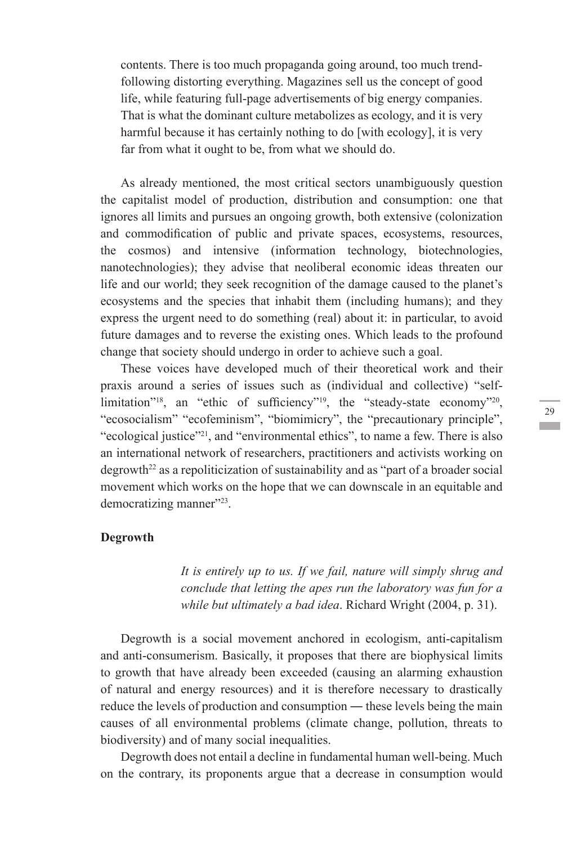contents. There is too much propaganda going around, too much trendfollowing distorting everything. Magazines sell us the concept of good life, while featuring full-page advertisements of big energy companies. That is what the dominant culture metabolizes as ecology, and it is very harmful because it has certainly nothing to do [with ecology], it is very far from what it ought to be, from what we should do.

As already mentioned, the most critical sectors unambiguously question the capitalist model of production, distribution and consumption: one that ignores all limits and pursues an ongoing growth, both extensive (colonization and commodification of public and private spaces, ecosystems, resources, the cosmos) and intensive (information technology, biotechnologies, nanotechnologies); they advise that neoliberal economic ideas threaten our life and our world; they seek recognition of the damage caused to the planet's ecosystems and the species that inhabit them (including humans); and they express the urgent need to do something (real) about it: in particular, to avoid future damages and to reverse the existing ones. Which leads to the profound change that society should undergo in order to achieve such a goal.

These voices have developed much of their theoretical work and their praxis around a series of issues such as (individual and collective) "selflimitation"<sup>18</sup>, an "ethic of sufficiency"<sup>19</sup>, the "steady-state economy"<sup>20</sup>, "ecosocialism" "ecofeminism", "biomimicry", the "precautionary principle", "ecological justice"<sup>21</sup>, and "environmental ethics", to name a few. There is also an international network of researchers, practitioners and activists working on  $degrowth<sup>22</sup>$  as a repoliticization of sustainability and as "part of a broader social movement which works on the hope that we can downscale in an equitable and democratizing manner"<sup>223</sup>.

#### **Degrowth**

*It is entirely up to us. If we fail, nature will simply shrug and conclude that letting the apes run the laboratory was fun for a while but ultimately a bad idea*. Richard Wright (2004, p. 31).

Degrowth is a social movement anchored in ecologism, anti-capitalism and anti-consumerism. Basically, it proposes that there are biophysical limits to growth that have already been exceeded (causing an alarming exhaustion of natural and energy resources) and it is therefore necessary to drastically reduce the levels of production and consumption ― these levels being the main causes of all environmental problems (climate change, pollution, threats to biodiversity) and of many social inequalities.

Degrowth does not entail a decline in fundamental human well-being. Much on the contrary, its proponents argue that a decrease in consumption would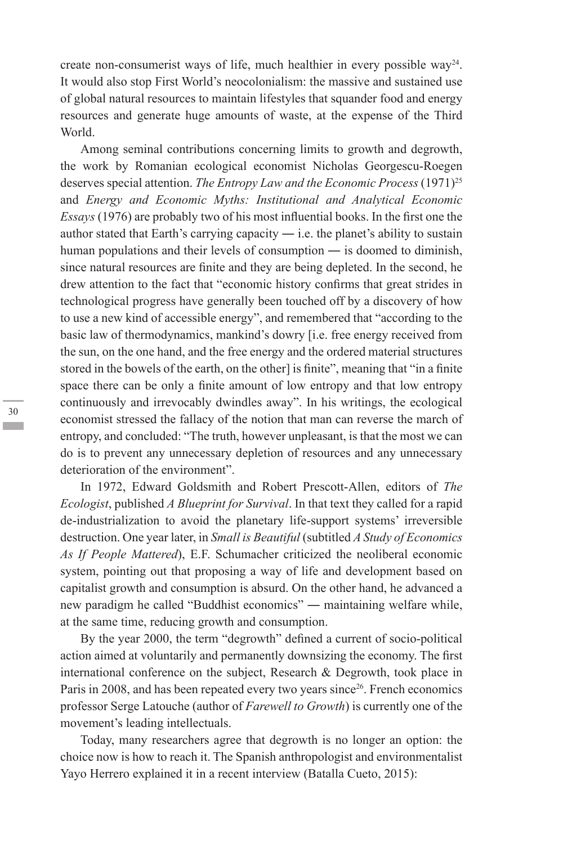create non-consumerist ways of life, much healthier in every possible way<sup>24</sup>. It would also stop First World's neocolonialism: the massive and sustained use of global natural resources to maintain lifestyles that squander food and energy resources and generate huge amounts of waste, at the expense of the Third World.

Among seminal contributions concerning limits to growth and degrowth, the work by Romanian ecological economist Nicholas Georgescu-Roegen deserves special attention. *The Entropy Law and the Economic Process* (1971)<sup>25</sup> and *Energy and Economic Myths: Institutional and Analytical Economic Essays* (1976) are probably two of his most influential books. In the first one the author stated that Earth's carrying capacity  $-$  i.e. the planet's ability to sustain human populations and their levels of consumption — is doomed to diminish, since natural resources are finite and they are being depleted. In the second, he drew attention to the fact that "economic history confirms that great strides in technological progress have generally been touched off by a discovery of how to use a new kind of accessible energy", and remembered that "according to the basic law of thermodynamics, mankind's dowry [i.e. free energy received from the sun, on the one hand, and the free energy and the ordered material structures stored in the bowels of the earth, on the other] is finite", meaning that "in a finite space there can be only a finite amount of low entropy and that low entropy continuously and irrevocably dwindles away". In his writings, the ecological economist stressed the fallacy of the notion that man can reverse the march of entropy, and concluded: "The truth, however unpleasant, is that the most we can do is to prevent any unnecessary depletion of resources and any unnecessary deterioration of the environment".

In 1972, Edward Goldsmith and Robert Prescott-Allen, editors of *The Ecologist*, published *A Blueprint for Survival*. In that text they called for a rapid de-industrialization to avoid the planetary life-support systems' irreversible destruction. One year later, in *Small is Beautiful* (subtitled *A Study of Economics As If People Mattered*), E.F. Schumacher criticized the neoliberal economic system, pointing out that proposing a way of life and development based on capitalist growth and consumption is absurd. On the other hand, he advanced a new paradigm he called "Buddhist economics" ― maintaining welfare while, at the same time, reducing growth and consumption.

By the year 2000, the term "degrowth" defined a current of socio-political action aimed at voluntarily and permanently downsizing the economy. The first international conference on the subject, Research & Degrowth, took place in Paris in 2008, and has been repeated every two years since<sup>26</sup>. French economics professor Serge Latouche (author of *Farewell to Growth*) is currently one of the movement's leading intellectuals.

Today, many researchers agree that degrowth is no longer an option: the choice now is how to reach it. The Spanish anthropologist and environmentalist Yayo Herrero explained it in a recent interview (Batalla Cueto, 2015):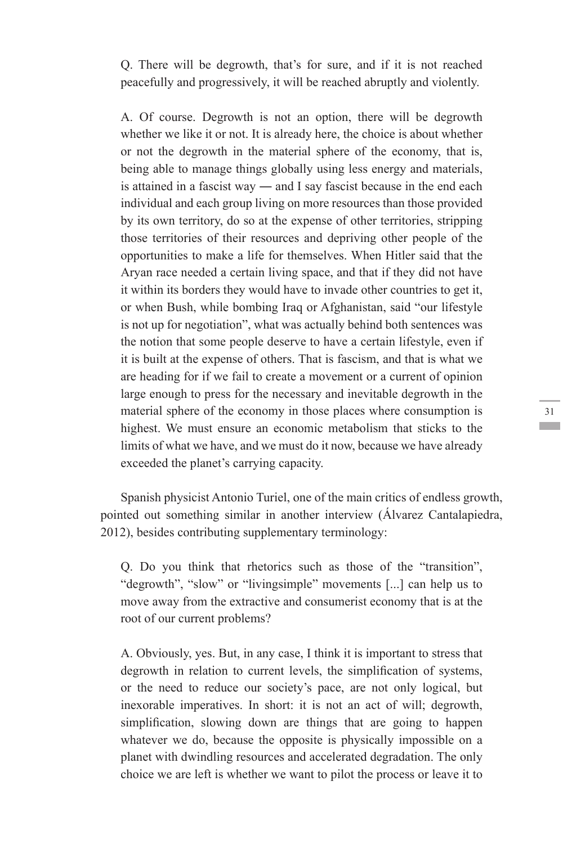Q. There will be degrowth, that's for sure, and if it is not reached peacefully and progressively, it will be reached abruptly and violently.

A. Of course. Degrowth is not an option, there will be degrowth whether we like it or not. It is already here, the choice is about whether or not the degrowth in the material sphere of the economy, that is, being able to manage things globally using less energy and materials, is attained in a fascist way ― and I say fascist because in the end each individual and each group living on more resources than those provided by its own territory, do so at the expense of other territories, stripping those territories of their resources and depriving other people of the opportunities to make a life for themselves. When Hitler said that the Aryan race needed a certain living space, and that if they did not have it within its borders they would have to invade other countries to get it, or when Bush, while bombing Iraq or Afghanistan, said "our lifestyle is not up for negotiation", what was actually behind both sentences was the notion that some people deserve to have a certain lifestyle, even if it is built at the expense of others. That is fascism, and that is what we are heading for if we fail to create a movement or a current of opinion large enough to press for the necessary and inevitable degrowth in the material sphere of the economy in those places where consumption is highest. We must ensure an economic metabolism that sticks to the limits of what we have, and we must do it now, because we have already exceeded the planet's carrying capacity.

Spanish physicist Antonio Turiel, one of the main critics of endless growth, pointed out something similar in another interview (Álvarez Cantalapiedra, 2012), besides contributing supplementary terminology:

Q. Do you think that rhetorics such as those of the "transition", "degrowth", "slow" or "livingsimple" movements [...] can help us to move away from the extractive and consumerist economy that is at the root of our current problems?

A. Obviously, yes. But, in any case, I think it is important to stress that degrowth in relation to current levels, the simplification of systems, or the need to reduce our society's pace, are not only logical, but inexorable imperatives. In short: it is not an act of will; degrowth, simplification, slowing down are things that are going to happen whatever we do, because the opposite is physically impossible on a planet with dwindling resources and accelerated degradation. The only choice we are left is whether we want to pilot the process or leave it to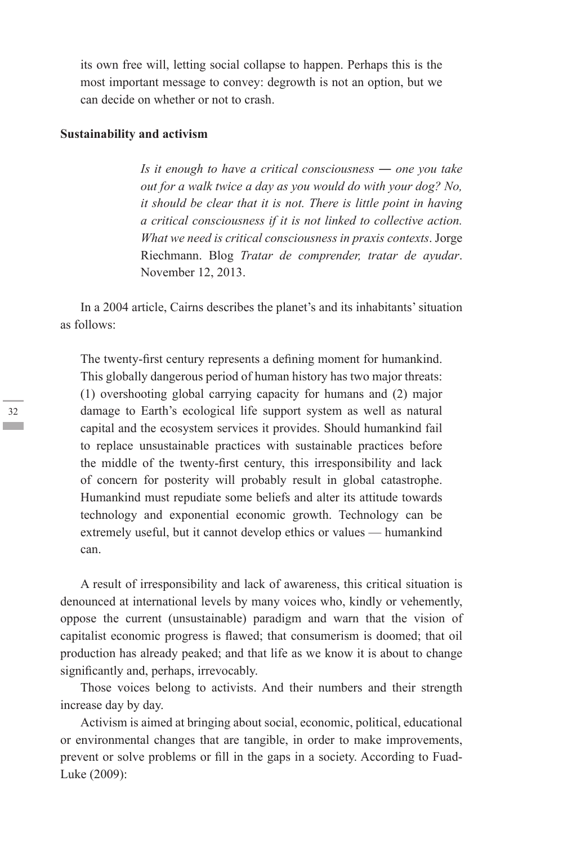its own free will, letting social collapse to happen. Perhaps this is the most important message to convey: degrowth is not an option, but we can decide on whether or not to crash.

#### **Sustainability and activism**

*Is it enough to have a critical consciousness ― one you take out for a walk twice a day as you would do with your dog? No, it should be clear that it is not. There is little point in having a critical consciousness if it is not linked to collective action. What we need is critical consciousness in praxis contexts*. Jorge Riechmann. Blog *Tratar de comprender, tratar de ayudar*. November 12, 2013.

In a 2004 article, Cairns describes the planet's and its inhabitants' situation as follows:

The twenty-first century represents a defining moment for humankind. This globally dangerous period of human history has two major threats: (1) overshooting global carrying capacity for humans and (2) major damage to Earth's ecological life support system as well as natural capital and the ecosystem services it provides. Should humankind fail to replace unsustainable practices with sustainable practices before the middle of the twenty-first century, this irresponsibility and lack of concern for posterity will probably result in global catastrophe. Humankind must repudiate some beliefs and alter its attitude towards technology and exponential economic growth. Technology can be extremely useful, but it cannot develop ethics or values — humankind can.

A result of irresponsibility and lack of awareness, this critical situation is denounced at international levels by many voices who, kindly or vehemently, oppose the current (unsustainable) paradigm and warn that the vision of capitalist economic progress is flawed; that consumerism is doomed; that oil production has already peaked; and that life as we know it is about to change significantly and, perhaps, irrevocably.

Those voices belong to activists. And their numbers and their strength increase day by day.

Activism is aimed at bringing about social, economic, political, educational or environmental changes that are tangible, in order to make improvements, prevent or solve problems or fill in the gaps in a society. According to Fuad-Luke (2009):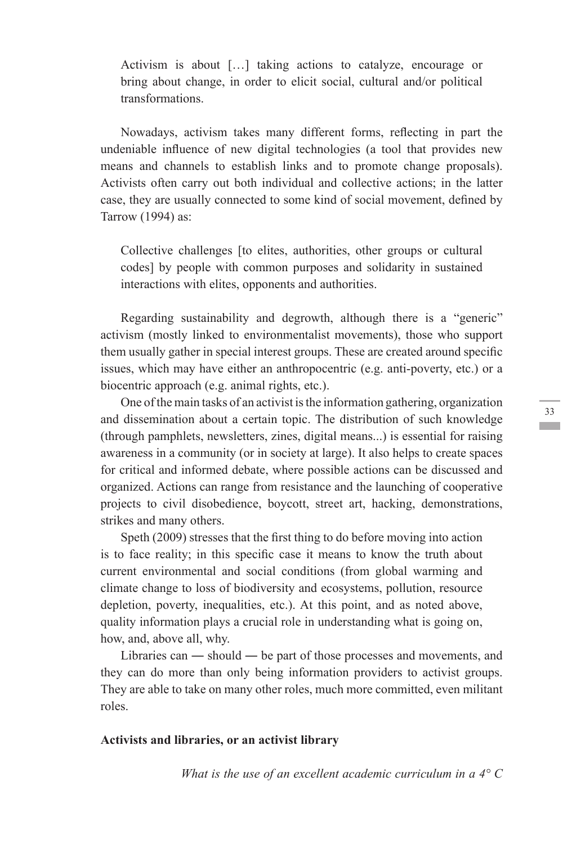Activism is about […] taking actions to catalyze, encourage or bring about change, in order to elicit social, cultural and/or political transformations.

Nowadays, activism takes many different forms, reflecting in part the undeniable influence of new digital technologies (a tool that provides new means and channels to establish links and to promote change proposals). Activists often carry out both individual and collective actions; in the latter case, they are usually connected to some kind of social movement, defined by Tarrow (1994) as:

Collective challenges [to elites, authorities, other groups or cultural codes] by people with common purposes and solidarity in sustained interactions with elites, opponents and authorities.

Regarding sustainability and degrowth, although there is a "generic" activism (mostly linked to environmentalist movements), those who support them usually gather in special interest groups. These are created around specific issues, which may have either an anthropocentric (e.g. anti-poverty, etc.) or a biocentric approach (e.g. animal rights, etc.).

One of the main tasks of an activist is the information gathering, organization and dissemination about a certain topic. The distribution of such knowledge (through pamphlets, newsletters, zines, digital means...) is essential for raising awareness in a community (or in society at large). It also helps to create spaces for critical and informed debate, where possible actions can be discussed and organized. Actions can range from resistance and the launching of cooperative projects to civil disobedience, boycott, street art, hacking, demonstrations, strikes and many others.

Speth (2009) stresses that the first thing to do before moving into action is to face reality; in this specific case it means to know the truth about current environmental and social conditions (from global warming and climate change to loss of biodiversity and ecosystems, pollution, resource depletion, poverty, inequalities, etc.). At this point, and as noted above, quality information plays a crucial role in understanding what is going on, how, and, above all, why.

Libraries can ― should ― be part of those processes and movements, and they can do more than only being information providers to activist groups. They are able to take on many other roles, much more committed, even militant roles.

#### **Activists and libraries, or an activist library**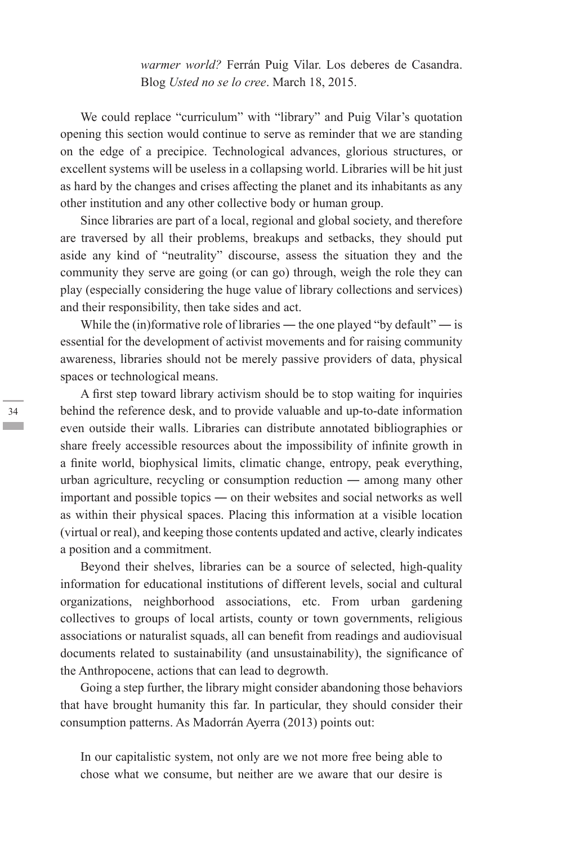*warmer world?* Ferrán Puig Vilar. Los deberes de Casandra. Blog *Usted no se lo cree*. March 18, 2015.

We could replace "curriculum" with "library" and Puig Vilar's quotation opening this section would continue to serve as reminder that we are standing on the edge of a precipice. Technological advances, glorious structures, or excellent systems will be useless in a collapsing world. Libraries will be hit just as hard by the changes and crises affecting the planet and its inhabitants as any other institution and any other collective body or human group.

Since libraries are part of a local, regional and global society, and therefore are traversed by all their problems, breakups and setbacks, they should put aside any kind of "neutrality" discourse, assess the situation they and the community they serve are going (or can go) through, weigh the role they can play (especially considering the huge value of library collections and services) and their responsibility, then take sides and act.

While the (in)formative role of libraries — the one played "by default" — is essential for the development of activist movements and for raising community awareness, libraries should not be merely passive providers of data, physical spaces or technological means.

A first step toward library activism should be to stop waiting for inquiries behind the reference desk, and to provide valuable and up-to-date information even outside their walls. Libraries can distribute annotated bibliographies or share freely accessible resources about the impossibility of infinite growth in a finite world, biophysical limits, climatic change, entropy, peak everything, urban agriculture, recycling or consumption reduction ― among many other important and possible topics ― on their websites and social networks as well as within their physical spaces. Placing this information at a visible location (virtual or real), and keeping those contents updated and active, clearly indicates a position and a commitment.

Beyond their shelves, libraries can be a source of selected, high-quality information for educational institutions of different levels, social and cultural organizations, neighborhood associations, etc. From urban gardening collectives to groups of local artists, county or town governments, religious associations or naturalist squads, all can benefit from readings and audiovisual documents related to sustainability (and unsustainability), the significance of the Anthropocene, actions that can lead to degrowth.

Going a step further, the library might consider abandoning those behaviors that have brought humanity this far. In particular, they should consider their consumption patterns. As Madorrán Ayerra (2013) points out:

In our capitalistic system, not only are we not more free being able to chose what we consume, but neither are we aware that our desire is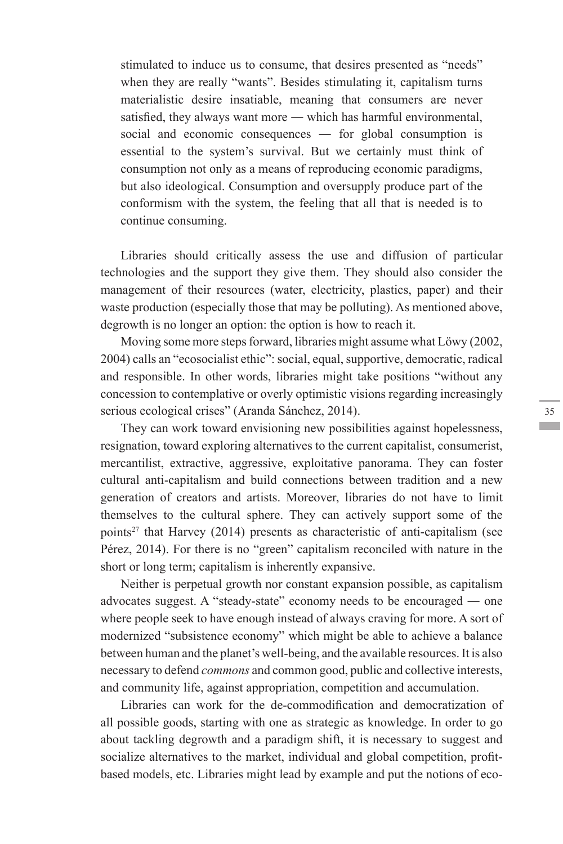stimulated to induce us to consume, that desires presented as "needs" when they are really "wants". Besides stimulating it, capitalism turns materialistic desire insatiable, meaning that consumers are never satisfied, they always want more — which has harmful environmental, social and economic consequences — for global consumption is essential to the system's survival. But we certainly must think of consumption not only as a means of reproducing economic paradigms, but also ideological. Consumption and oversupply produce part of the conformism with the system, the feeling that all that is needed is to continue consuming.

Libraries should critically assess the use and diffusion of particular technologies and the support they give them. They should also consider the management of their resources (water, electricity, plastics, paper) and their waste production (especially those that may be polluting). As mentioned above, degrowth is no longer an option: the option is how to reach it.

Moving some more steps forward, libraries might assume what Löwy (2002, 2004) calls an "ecosocialist ethic": social, equal, supportive, democratic, radical and responsible. In other words, libraries might take positions "without any concession to contemplative or overly optimistic visions regarding increasingly serious ecological crises" (Aranda Sánchez, 2014).

They can work toward envisioning new possibilities against hopelessness, resignation, toward exploring alternatives to the current capitalist, consumerist, mercantilist, extractive, aggressive, exploitative panorama. They can foster cultural anti-capitalism and build connections between tradition and a new generation of creators and artists. Moreover, libraries do not have to limit themselves to the cultural sphere. They can actively support some of the points<sup>27</sup> that Harvey (2014) presents as characteristic of anti-capitalism (see Pérez, 2014). For there is no "green" capitalism reconciled with nature in the short or long term; capitalism is inherently expansive.

Neither is perpetual growth nor constant expansion possible, as capitalism advocates suggest. A "steady-state" economy needs to be encouraged ― one where people seek to have enough instead of always craving for more. A sort of modernized "subsistence economy" which might be able to achieve a balance between human and the planet's well-being, and the available resources. It is also necessary to defend *commons* and common good, public and collective interests, and community life, against appropriation, competition and accumulation.

Libraries can work for the de-commodification and democratization of all possible goods, starting with one as strategic as knowledge. In order to go about tackling degrowth and a paradigm shift, it is necessary to suggest and socialize alternatives to the market, individual and global competition, profitbased models, etc. Libraries might lead by example and put the notions of eco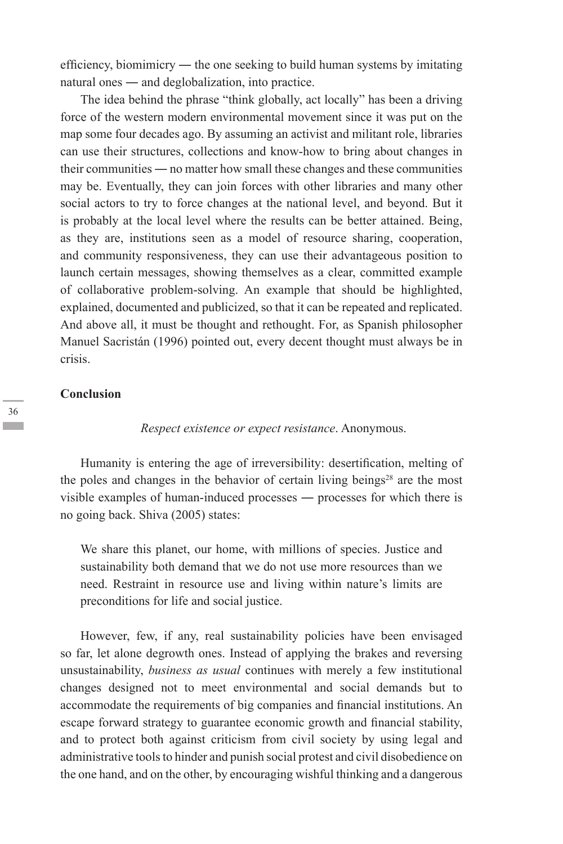efficiency, biomimicry ― the one seeking to build human systems by imitating natural ones ― and deglobalization, into practice.

The idea behind the phrase "think globally, act locally" has been a driving force of the western modern environmental movement since it was put on the map some four decades ago. By assuming an activist and militant role, libraries can use their structures, collections and know-how to bring about changes in their communities ― no matter how small these changes and these communities may be. Eventually, they can join forces with other libraries and many other social actors to try to force changes at the national level, and beyond. But it is probably at the local level where the results can be better attained. Being, as they are, institutions seen as a model of resource sharing, cooperation, and community responsiveness, they can use their advantageous position to launch certain messages, showing themselves as a clear, committed example of collaborative problem-solving. An example that should be highlighted, explained, documented and publicized, so that it can be repeated and replicated. And above all, it must be thought and rethought. For, as Spanish philosopher Manuel Sacristán (1996) pointed out, every decent thought must always be in crisis.

#### **Conclusion**

*Respect existence or expect resistance*. Anonymous.

Humanity is entering the age of irreversibility: desertification, melting of the poles and changes in the behavior of certain living beings<sup>28</sup> are the most visible examples of human-induced processes ― processes for which there is no going back. Shiva (2005) states:

We share this planet, our home, with millions of species. Justice and sustainability both demand that we do not use more resources than we need. Restraint in resource use and living within nature's limits are preconditions for life and social justice.

However, few, if any, real sustainability policies have been envisaged so far, let alone degrowth ones. Instead of applying the brakes and reversing unsustainability, *business as usual* continues with merely a few institutional changes designed not to meet environmental and social demands but to accommodate the requirements of big companies and financial institutions. An escape forward strategy to guarantee economic growth and financial stability, and to protect both against criticism from civil society by using legal and administrative tools to hinder and punish social protest and civil disobedience on the one hand, and on the other, by encouraging wishful thinking and a dangerous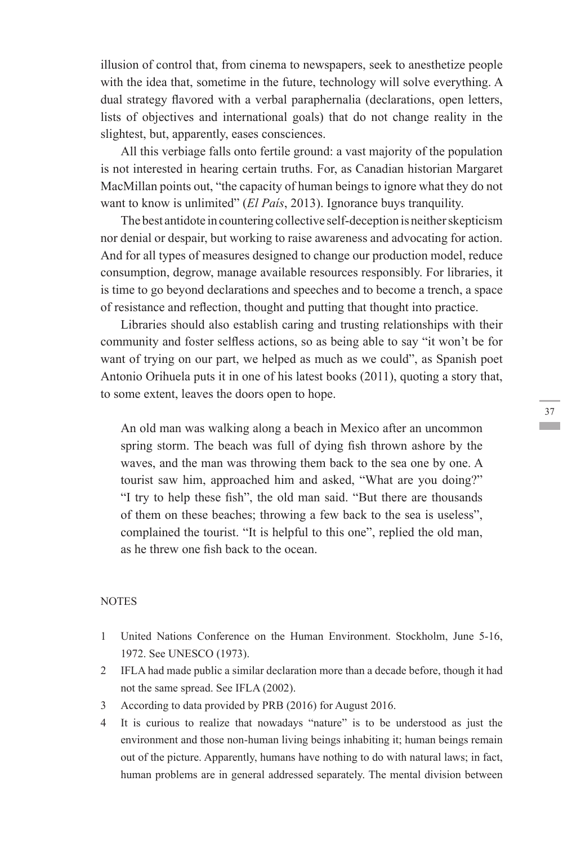illusion of control that, from cinema to newspapers, seek to anesthetize people with the idea that, sometime in the future, technology will solve everything. A dual strategy flavored with a verbal paraphernalia (declarations, open letters, lists of objectives and international goals) that do not change reality in the slightest, but, apparently, eases consciences.

All this verbiage falls onto fertile ground: a vast majority of the population is not interested in hearing certain truths. For, as Canadian historian Margaret MacMillan points out, "the capacity of human beings to ignore what they do not want to know is unlimited" *(El País*, 2013). Ignorance buys tranquility.

The best antidote in countering collective self-deception is neither skepticism nor denial or despair, but working to raise awareness and advocating for action. And for all types of measures designed to change our production model, reduce consumption, degrow, manage available resources responsibly. For libraries, it is time to go beyond declarations and speeches and to become a trench, a space of resistance and reflection, thought and putting that thought into practice.

Libraries should also establish caring and trusting relationships with their community and foster selfless actions, so as being able to say "it won't be for want of trying on our part, we helped as much as we could", as Spanish poet Antonio Orihuela puts it in one of his latest books (2011), quoting a story that, to some extent, leaves the doors open to hope.

An old man was walking along a beach in Mexico after an uncommon spring storm. The beach was full of dying fish thrown ashore by the waves, and the man was throwing them back to the sea one by one. A tourist saw him, approached him and asked, "What are you doing?" "I try to help these fish", the old man said. "But there are thousands of them on these beaches; throwing a few back to the sea is useless", complained the tourist. "It is helpful to this one", replied the old man, as he threw one fish back to the ocean.

#### **NOTES**

- 1 United Nations Conference on the Human Environment. Stockholm, June 5-16, 1972. See UNESCO (1973).
- 2 IFLA had made public a similar declaration more than a decade before, though it had not the same spread. See IFLA (2002).
- 3 According to data provided by PRB (2016) for August 2016.
- 4 It is curious to realize that nowadays "nature" is to be understood as just the environment and those non-human living beings inhabiting it; human beings remain out of the picture. Apparently, humans have nothing to do with natural laws; in fact, human problems are in general addressed separately. The mental division between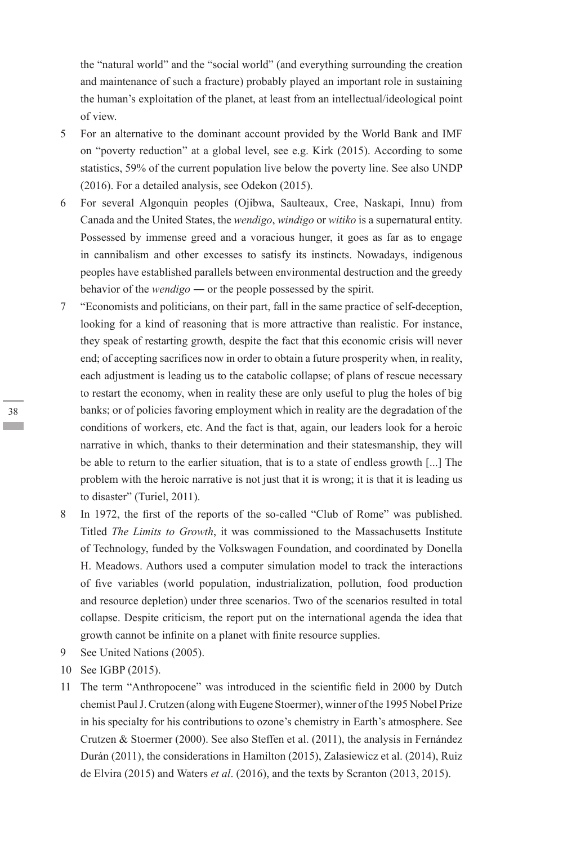the "natural world" and the "social world" (and everything surrounding the creation and maintenance of such a fracture) probably played an important role in sustaining the human's exploitation of the planet, at least from an intellectual/ideological point of view.

- 5 For an alternative to the dominant account provided by the World Bank and IMF on "poverty reduction" at a global level, see e.g. Kirk (2015). According to some statistics, 59% of the current population live below the poverty line. See also UNDP (2016). For a detailed analysis, see Odekon (2015).
- 6 For several Algonquin peoples (Ojibwa, Saulteaux, Cree, Naskapi, Innu) from Canada and the United States, the *wendigo*, *windigo* or *witiko* is a supernatural entity. Possessed by immense greed and a voracious hunger, it goes as far as to engage in cannibalism and other excesses to satisfy its instincts. Nowadays, indigenous peoples have established parallels between environmental destruction and the greedy behavior of the *wendigo* ― or the people possessed by the spirit.
- 7 "Economists and politicians, on their part, fall in the same practice of self-deception, looking for a kind of reasoning that is more attractive than realistic. For instance, they speak of restarting growth, despite the fact that this economic crisis will never end; of accepting sacrifices now in order to obtain a future prosperity when, in reality, each adjustment is leading us to the catabolic collapse; of plans of rescue necessary to restart the economy, when in reality these are only useful to plug the holes of big banks; or of policies favoring employment which in reality are the degradation of the conditions of workers, etc. And the fact is that, again, our leaders look for a heroic narrative in which, thanks to their determination and their statesmanship, they will be able to return to the earlier situation, that is to a state of endless growth [...] The problem with the heroic narrative is not just that it is wrong; it is that it is leading us to disaster" (Turiel, 2011).
- 8 In 1972, the first of the reports of the so-called "Club of Rome" was published. Titled *The Limits to Growth*, it was commissioned to the Massachusetts Institute of Technology, funded by the Volkswagen Foundation, and coordinated by Donella H. Meadows. Authors used a computer simulation model to track the interactions of five variables (world population, industrialization, pollution, food production and resource depletion) under three scenarios. Two of the scenarios resulted in total collapse. Despite criticism, the report put on the international agenda the idea that growth cannot be infinite on a planet with finite resource supplies.
- 9 See United Nations (2005).
- 10 See IGBP (2015).
- 11 The term "Anthropocene" was introduced in the scientific field in 2000 by Dutch chemist Paul J. Crutzen (along with Eugene Stoermer), winner of the 1995 Nobel Prize in his specialty for his contributions to ozone's chemistry in Earth's atmosphere. See Crutzen & Stoermer (2000). See also Steffen et al. (2011), the analysis in Fernández Durán (2011), the considerations in Hamilton (2015), Zalasiewicz et al. (2014), Ruiz de Elvira (2015) and Waters *et al*. (2016), and the texts by Scranton (2013, 2015).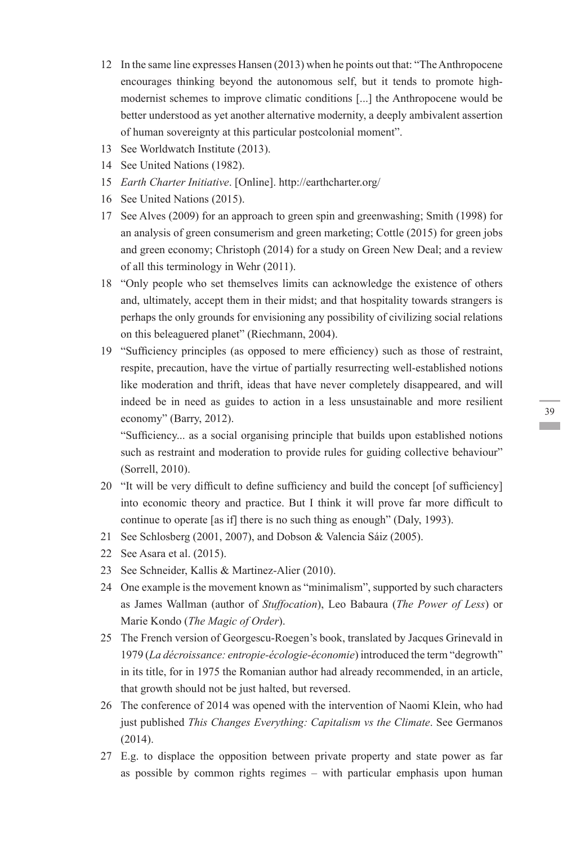- 12 In the same line expresses Hansen (2013) when he points out that: "The Anthropocene encourages thinking beyond the autonomous self, but it tends to promote highmodernist schemes to improve climatic conditions [...] the Anthropocene would be better understood as yet another alternative modernity, a deeply ambivalent assertion of human sovereignty at this particular postcolonial moment".
- 13 See Worldwatch Institute (2013).
- 14 See United Nations (1982).
- 15 *Earth Charter Initiative*. [Online]. http://earthcharter.org/
- 16 See United Nations (2015).
- 17 See Alves (2009) for an approach to green spin and greenwashing; Smith (1998) for an analysis of green consumerism and green marketing; Cottle (2015) for green jobs and green economy; Christoph (2014) for a study on Green New Deal; and a review of all this terminology in Wehr (2011).
- 18 "Only people who set themselves limits can acknowledge the existence of others and, ultimately, accept them in their midst; and that hospitality towards strangers is perhaps the only grounds for envisioning any possibility of civilizing social relations on this beleaguered planet" (Riechmann, 2004).
- 19 "Sufficiency principles (as opposed to mere efficiency) such as those of restraint, respite, precaution, have the virtue of partially resurrecting well-established notions like moderation and thrift, ideas that have never completely disappeared, and will indeed be in need as guides to action in a less unsustainable and more resilient economy" (Barry, 2012).

"Sufficiency... as a social organising principle that builds upon established notions such as restraint and moderation to provide rules for guiding collective behaviour" (Sorrell, 2010).

- 20 "It will be very difficult to define sufficiency and build the concept [of sufficiency] into economic theory and practice. But I think it will prove far more difficult to continue to operate [as if] there is no such thing as enough" (Daly, 1993).
- 21 See Schlosberg (2001, 2007), and Dobson & Valencia Sáiz (2005).
- 22 See Asara et al. (2015).
- 23 See Schneider, Kallis & Martinez-Alier (2010).
- 24 One example is the movement known as "minimalism", supported by such characters as James Wallman (author of *Stuffocation*), Leo Babaura (*The Power of Less*) or Marie Kondo (*The Magic of Order*).
- 25 The French version of Georgescu-Roegen's book, translated by Jacques Grinevald in 1979 (*La décroissance: entropie-écologie-économie*) introduced the term "degrowth" in its title, for in 1975 the Romanian author had already recommended, in an article, that growth should not be just halted, but reversed.
- 26 The conference of 2014 was opened with the intervention of Naomi Klein, who had just published *This Changes Everything: Capitalism vs the Climate*. See Germanos (2014).
- 27 E.g. to displace the opposition between private property and state power as far as possible by common rights regimes – with particular emphasis upon human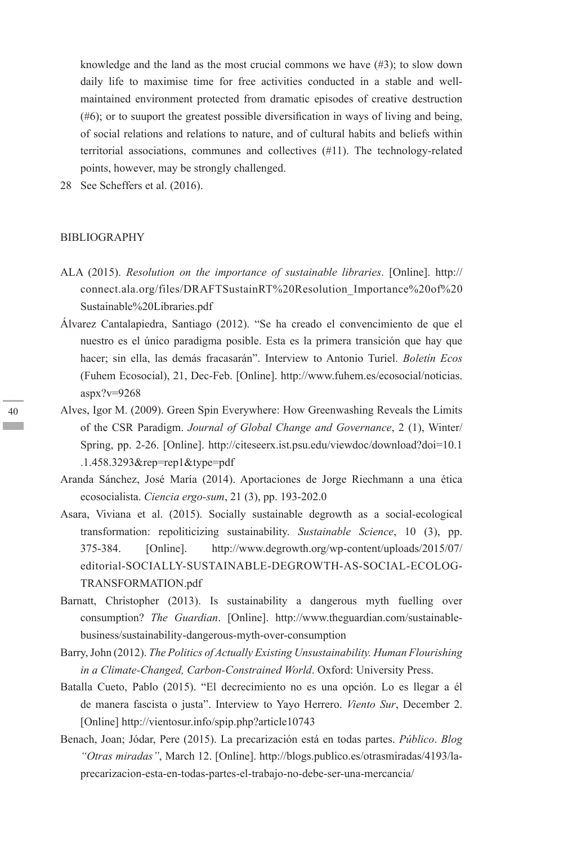knowledge and the land as the most crucial commons we have  $(\#3)$ ; to slow down daily life to maximise time for free activities conducted in a stable and wellmaintained environment protected from dramatic episodes of creative destruction (#6); or to suuport the greatest possible diversification in ways of living and being, of social relations and relations to nature, and of cultural habits and beliefs within territorial associations, communes and collectives (#11). The technology-related points, however, may be strongly challenged.

28 See Scheffers et al. (2016).

#### BIBLIOGRAPHY

- ALA (2015). *Resolution on the importance of sustainable libraries*. [Online]. http:// connect.ala.org/files/DRAFTSustainRT%20Resolution\_Importance%20of%20 Sustainable%20Libraries.pdf
- Álvarez Cantalapiedra, Santiago (2012). "Se ha creado el convencimiento de que el nuestro es el único paradigma posible. Esta es la primera transición que hay que hacer; sin ella, las demás fracasarán". Interview to Antonio Turiel. *Boletín Ecos* (Fuhem Ecosocial), 21, Dec-Feb. [Online]. http://www.fuhem.es/ecosocial/noticias.  $a$ spx?v=9268
- Alves, Igor M. (2009). Green Spin Everywhere: How Greenwashing Reveals the Limits of the CSR Paradigm. *Journal of Global Change and Governance*, 2 (1), Winter/ Spring, pp. 2-26. [Online]. http://citeseerx.ist.psu.edu/viewdoc/download?doi=10.1 .1.458.3293&rep=rep1&type=pdf
- Aranda Sánchez, José María (2014). Aportaciones de Jorge Riechmann a una ética ecosocialista. *Ciencia ergo-sum*, 21 (3), pp. 193-202.0
- Asara, Viviana et al. (2015). Socially sustainable degrowth as a social-ecological transformation: repoliticizing sustainability. *Sustainable Science*, 10 (3), pp. 375-384. [Online]. http://www.degrowth.org/wp-content/uploads/2015/07/ editorial-SOCIALLY-SUSTAINABLE-DEGROWTH-AS-SOCIAL-ECOLOG-TRANSFORMATION.pdf
- Barnatt, Christopher (2013). Is sustainability a dangerous myth fuelling over consumption? *The Guardian*. [Online]. http://www.theguardian.com/sustainablebusiness/sustainability-dangerous-myth-over-consumption
- Barry, John (2012). *The Politics of Actually Existing Unsustainability. Human Flourishing in a Climate-Changed, Carbon-Constrained World*. Oxford: University Press.
- Batalla Cueto, Pablo (2015). "El decrecimiento no es una opción. Lo es llegar a él de manera fascista o justa". Interview to Yayo Herrero. *Viento Sur*, December 2. [Online] http://vientosur.info/spip.php?article10743
- Benach, Joan; Jódar, Pere (2015). La precarización está en todas partes. *Público*. *Blog "Otras miradas"*, March 12. [Online]. http://blogs.publico.es/otrasmiradas/4193/laprecarizacion-esta-en-todas-partes-el-trabajo-no-debe-ser-una-mercancia/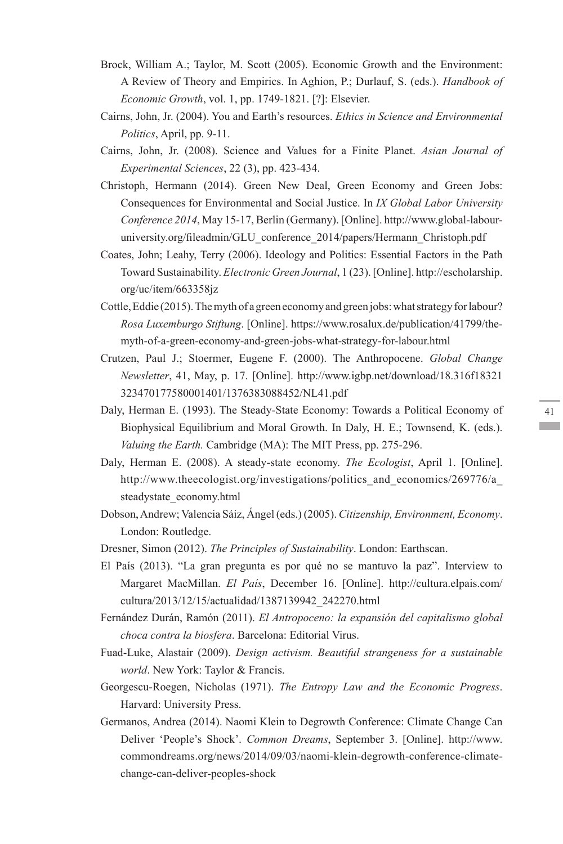- Brock, William A.; Taylor, M. Scott (2005). Economic Growth and the Environment: A Review of Theory and Empirics. In Aghion, P.; Durlauf, S. (eds.). *Handbook of Economic Growth*, vol. 1, pp. 1749-1821. [?]: Elsevier.
- Cairns, John, Jr. (2004). You and Earth's resources. *Ethics in Science and Environmental Politics*, April, pp. 9-11.
- Cairns, John, Jr. (2008). Science and Values for a Finite Planet. *Asian Journal of Experimental Sciences*, 22 (3), pp. 423-434.
- Christoph, Hermann (2014). Green New Deal, Green Economy and Green Jobs: Consequences for Environmental and Social Justice. In *IX Global Labor University Conference 2014*, May 15-17, Berlin (Germany). [Online]. http://www.global-labouruniversity.org/fileadmin/GLU\_conference\_2014/papers/Hermann\_Christoph.pdf
- Coates, John; Leahy, Terry (2006). Ideology and Politics: Essential Factors in the Path Toward Sustainability. *Electronic Green Journal*, 1 (23). [Online]. http://escholarship. org/uc/item/663358jz
- Cottle, Eddie (2015). The myth of a green economy and green jobs: what strategy for labour? *Rosa Luxemburgo Stiftung*. [Online]. https://www.rosalux.de/publication/41799/themyth-of-a-green-economy-and-green-jobs-what-strategy-for-labour.html
- Crutzen, Paul J.; Stoermer, Eugene F. (2000). The Anthropocene. *Global Change Newsletter*, 41, May, p. 17. [Online]. http://www.igbp.net/download/18.316f18321 323470177580001401/1376383088452/NL41.pdf
- Daly, Herman E. (1993). The Steady-State Economy: Towards a Political Economy of Biophysical Equilibrium and Moral Growth. In Daly, H. E.; Townsend, K. (eds.). *Valuing the Earth.* Cambridge (MA): The MIT Press, pp. 275-296.
- Daly, Herman E. (2008). A steady-state economy. *The Ecologist*, April 1. [Online]. http://www.theecologist.org/investigations/politics and economics/269776/a steadystate\_economy.html
- Dobson, Andrew; Valencia Sáiz, Ángel (eds.) (2005). *Citizenship, Environment, Economy*. London: Routledge.
- Dresner, Simon (2012). *The Principles of Sustainability*. London: Earthscan.
- El País (2013). "La gran pregunta es por qué no se mantuvo la paz". Interview to Margaret MacMillan. *El País*, December 16. [Online]. http://cultura.elpais.com/ cultura/2013/12/15/actualidad/1387139942\_242270.html
- Fernández Durán, Ramón (2011). *El Antropoceno: la expansión del capitalismo global choca contra la biosfera*. Barcelona: Editorial Virus.
- Fuad-Luke, Alastair (2009). *Design activism. Beautiful strangeness for a sustainable world*. New York: Taylor & Francis.
- Georgescu-Roegen, Nicholas (1971). *The Entropy Law and the Economic Progress*. Harvard: University Press.
- Germanos, Andrea (2014). Naomi Klein to Degrowth Conference: Climate Change Can Deliver 'People's Shock'. *Common Dreams*, September 3. [Online]. http://www. commondreams.org/news/2014/09/03/naomi-klein-degrowth-conference-climatechange-can-deliver-peoples-shock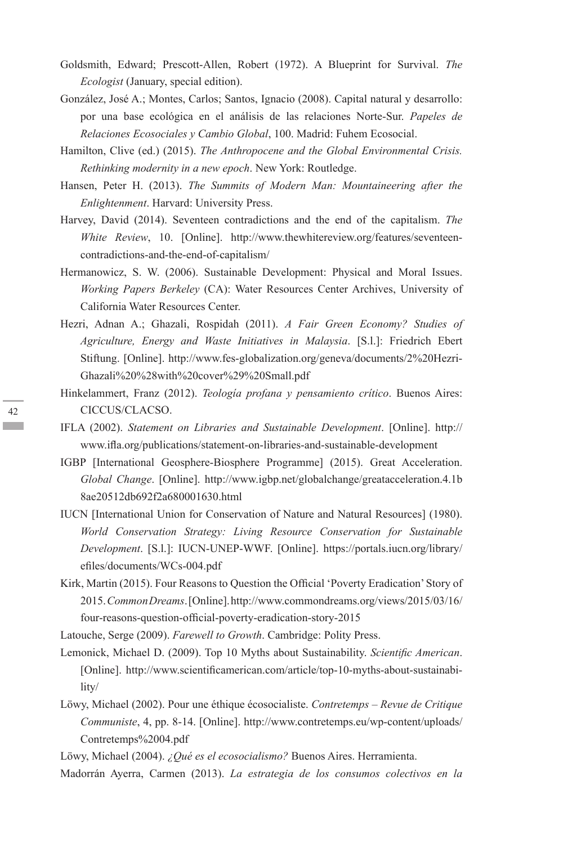- Goldsmith, Edward; Prescott-Allen, Robert (1972). A Blueprint for Survival. *The Ecologist* (January, special edition).
- González, José A.; Montes, Carlos; Santos, Ignacio (2008). Capital natural y desarrollo: por una base ecológica en el análisis de las relaciones Norte-Sur. *Papeles de Relaciones Ecosociales y Cambio Global*, 100. Madrid: Fuhem Ecosocial.
- Hamilton, Clive (ed.) (2015). *The Anthropocene and the Global Environmental Crisis. Rethinking modernity in a new epoch*. New York: Routledge.
- Hansen, Peter H. (2013). *The Summits of Modern Man: Mountaineering after the Enlightenment*. Harvard: University Press.
- Harvey, David (2014). Seventeen contradictions and the end of the capitalism. *The White Review*, 10. [Online]. http://www.thewhitereview.org/features/seventeencontradictions-and-the-end-of-capitalism/
- Hermanowicz, S. W. (2006). Sustainable Development: Physical and Moral Issues. *Working Papers Berkeley* (CA): Water Resources Center Archives, University of California Water Resources Center.
- Hezri, Adnan A.; Ghazali, Rospidah (2011). *A Fair Green Economy? Studies of Agriculture, Energy and Waste Initiatives in Malaysia*. [S.l.]: Friedrich Ebert Stiftung. [Online]. http://www.fes-globalization.org/geneva/documents/2%20Hezri-Ghazali%20%28with%20cover%29%20Small.pdf
- Hinkelammert, Franz (2012). *Teología profana y pensamiento crítico*. Buenos Aires: CICCUS/CLACSO.
- IFLA (2002). *Statement on Libraries and Sustainable Development*. [Online]. http:// www.ifla.org/publications/statement-on-libraries-and-sustainable-development
- IGBP [International Geosphere-Biosphere Programme] (2015). Great Acceleration. *Global Change*. [Online]. http://www.igbp.net/globalchange/greatacceleration.4.1b 8ae20512db692f2a680001630.html
- IUCN [International Union for Conservation of Nature and Natural Resources] (1980). *World Conservation Strategy: Living Resource Conservation for Sustainable Development*. [S.l.]: IUCN-UNEP-WWF. [Online]. https://portals.iucn.org/library/ efiles/documents/WCs-004.pdf
- Kirk, Martin (2015). Four Reasons to Question the Official 'Poverty Eradication' Story of 2015. *Common Dreams*. [Online]. http://www.commondreams.org/views/2015/03/16/ four-reasons-question-official-poverty-eradication-story-2015
- Latouche, Serge (2009). *Farewell to Growth*. Cambridge: Polity Press.
- Lemonick, Michael D. (2009). Top 10 Myths about Sustainability. *Scientific American*. [Online]. http://www.scientificamerican.com/article/top-10-myths-about-sustainability/
- Löwy, Michael (2002). Pour une éthique écosocialiste. *Contretemps Revue de Critique Communiste*, 4, pp. 8-14. [Online]. http://www.contretemps.eu/wp-content/uploads/ Contretemps%2004.pdf
- Löwy, Michael (2004). *¿Qué es el ecosocialismo?* Buenos Aires. Herramienta.

Madorrán Ayerra, Carmen (2013). *La estrategia de los consumos colectivos en la*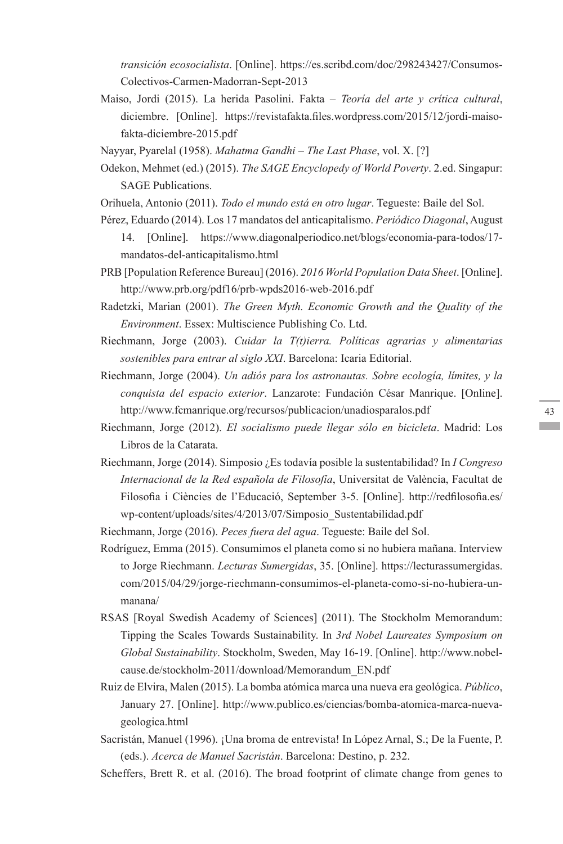*transición ecosocialista*. [Online]. https://es.scribd.com/doc/298243427/Consumos-Colectivos-Carmen-Madorran-Sept-2013

- Maiso, Jordi (2015). La herida Pasolini. Fakta *Teoría del arte y crítica cultural*, diciembre. [Online]. https://revistafakta.files.wordpress.com/2015/12/jordi-maisofakta-diciembre-2015.pdf
- Nayyar, Pyarelal (1958). *Mahatma Gandhi The Last Phase*, vol. X. [?]
- Odekon, Mehmet (ed.) (2015). *The SAGE Encyclopedy of World Poverty*. 2.ed. Singapur: SAGE Publications.
- Orihuela, Antonio (2011). *Todo el mundo está en otro lugar*. Tegueste: Baile del Sol.
- Pérez, Eduardo (2014). Los 17 mandatos del anticapitalismo. *Periódico Diagonal*, August 14. [Online]. https://www.diagonalperiodico.net/blogs/economia-para-todos/17 mandatos-del-anticapitalismo.html
- PRB [Population Reference Bureau] (2016). *2016 World Population Data Sheet*. [Online]. http://www.prb.org/pdf16/prb-wpds2016-web-2016.pdf
- Radetzki, Marian (2001). *The Green Myth. Economic Growth and the Quality of the Environment*. Essex: Multiscience Publishing Co. Ltd.
- Riechmann, Jorge (2003). *Cuidar la T(t)ierra. Políticas agrarias y alimentarias sostenibles para entrar al siglo XXI*. Barcelona: Icaria Editorial.
- Riechmann, Jorge (2004). *Un adiós para los astronautas. Sobre ecología, límites, y la conquista del espacio exterior*. Lanzarote: Fundación César Manrique. [Online]. http://www.fcmanrique.org/recursos/publicacion/unadiosparalos.pdf
- Riechmann, Jorge (2012). *El socialismo puede llegar sólo en bicicleta*. Madrid: Los Libros de la Catarata.
- Riechmann, Jorge (2014). Simposio ¿Es todavía posible la sustentabilidad? In *I Congreso Internacional de la Red española de Filosofía*, Universitat de València, Facultat de Filosofia i Ciències de l'Educació, September 3-5. [Online]. http://redfilosofia.es/ wp-content/uploads/sites/4/2013/07/Simposio\_Sustentabilidad.pdf

Riechmann, Jorge (2016). *Peces fuera del agua*. Tegueste: Baile del Sol.

- Rodríguez, Emma (2015). Consumimos el planeta como si no hubiera mañana. Interview to Jorge Riechmann. *Lecturas Sumergidas*, 35. [Online]. https://lecturassumergidas. com/2015/04/29/jorge-riechmann-consumimos-el-planeta-como-si-no-hubiera-unmanana/
- RSAS [Royal Swedish Academy of Sciences] (2011). The Stockholm Memorandum: Tipping the Scales Towards Sustainability. In *3rd Nobel Laureates Symposium on Global Sustainability*. Stockholm, Sweden, May 16-19. [Online]. http://www.nobelcause.de/stockholm-2011/download/Memorandum\_EN.pdf
- Ruiz de Elvira, Malen (2015). La bomba atómica marca una nueva era geológica. *Público*, January 27. [Online]. http://www.publico.es/ciencias/bomba-atomica-marca-nuevageologica.html
- Sacristán, Manuel (1996). ¡Una broma de entrevista! In López Arnal, S.; De la Fuente, P. (eds.). *Acerca de Manuel Sacristán*. Barcelona: Destino, p. 232.

Scheffers, Brett R. et al. (2016). The broad footprint of climate change from genes to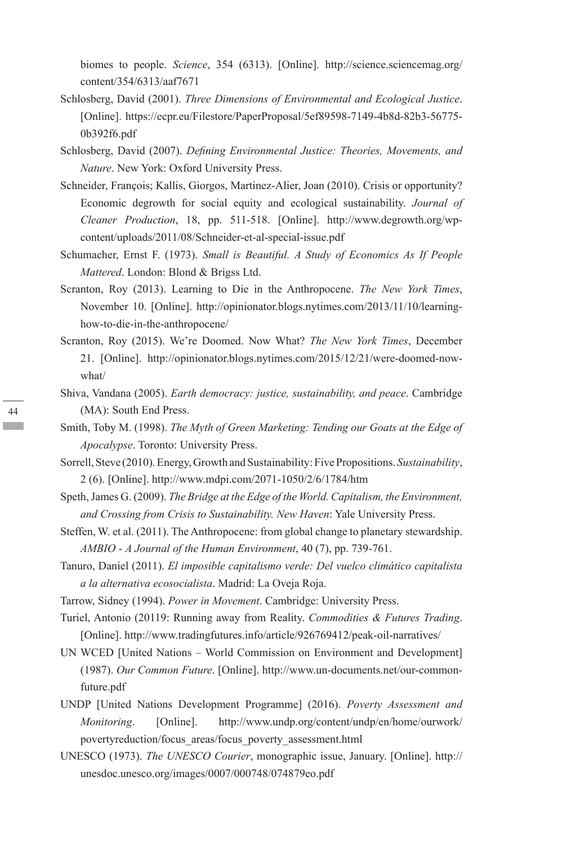biomes to people. *Science*, 354 (6313). [Online]. http://science.sciencemag.org/ content/354/6313/aaf7671

- Schlosberg, David (2001). *Three Dimensions of Environmental and Ecological Justice*. [Online]. https://ecpr.eu/Filestore/PaperProposal/5ef89598-7149-4b8d-82b3-56775-0b392f6.pdf
- Schlosberg, David (2007). *Defining Environmental Justice: Theories, Movements, and Nature*. New York: Oxford University Press.
- Schneider, François; Kallis, Giorgos, Martinez-Alier, Joan (2010). Crisis or opportunity? Economic degrowth for social equity and ecological sustainability. *Journal of Cleaner Production*, 18, pp. 511-518. [Online]. http://www.degrowth.org/wpcontent/uploads/2011/08/Schneider-et-al-special-issue.pdf
- Schumacher, Ernst F. (1973). *Small is Beautiful. A Study of Economics As If People Mattered*. London: Blond & Brigss Ltd.
- Scranton, Roy (2013). Learning to Die in the Anthropocene. *The New York Times*, November 10. [Online]. http://opinionator.blogs.nytimes.com/2013/11/10/learninghow-to-die-in-the-anthropocene/
- Scranton, Roy (2015). We're Doomed. Now What? *The New York Times*, December 21. [Online]. http://opinionator.blogs.nytimes.com/2015/12/21/were-doomed-nowwhat/
- Shiva, Vandana (2005). *Earth democracy: justice, sustainability, and peace*. Cambridge (MA): South End Press.
- Smith, Toby M. (1998). *The Myth of Green Marketing: Tending our Goats at the Edge of Apocalypse*. Toronto: University Press.
- Sorrell, Steve (2010). Energy, Growth and Sustainability: Five Propositions. *Sustainability*, 2 (6). [Online]. http://www.mdpi.com/2071-1050/2/6/1784/htm
- Speth, James G. (2009). *The Bridge at the Edge of the World. Capitalism, the Environment, and Crossing from Crisis to Sustainability. New Haven*: Yale University Press.
- Steffen, W. et al. (2011). The Anthropocene: from global change to planetary stewardship. *AMBIO* - *A Journal of the Human Environment*, 40 (7), pp. 739-761.
- Tanuro, Daniel (2011). *El imposible capitalismo verde: Del vuelco climático capitalista a la alternativa ecosocialista*. Madrid: La Oveja Roja.
- Tarrow, Sidney (1994). *Power in Movement*. Cambridge: University Press.
- Turiel, Antonio (20119: Running away from Reality. *Commodities & Futures Trading*. [Online]. http://www.tradingfutures.info/article/926769412/peak-oil-narratives/
- UN WCED [United Nations World Commission on Environment and Development] (1987). *Our Common Future*. [Online]. http://www.un-documents.net/our-commonfuture.pdf
- UNDP [United Nations Development Programme] (2016). *Poverty Assessment and Monitoring*. [Online]. http://www.undp.org/content/undp/en/home/ourwork/ povertyreduction/focus\_areas/focus\_poverty\_assessment.html
- UNESCO (1973). *The UNESCO Courier*, monographic issue, January. [Online]. http:// unesdoc.unesco.org/images/0007/000748/074879eo.pdf